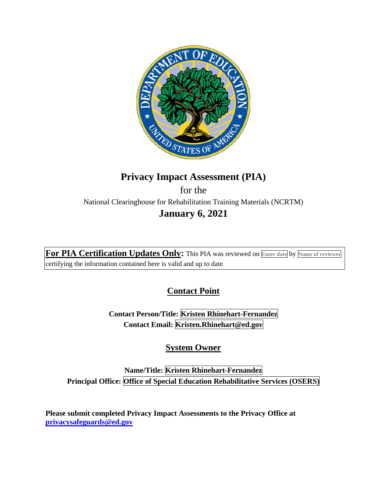

# **Privacy Impact Assessment (PIA)**  for the National Clearinghouse for Rehabilitation Training Materials (NCRTM) **January 6, 2021**

**For PIA Certification Updates Only:** This PIA was reviewed on **Enter date** by **Name of reviewer**  certifying the information contained here is valid and up to date.

## **Contact Point**

**Contact Person/Title: Kristen Rhinehart-Fernandez Contact Email: Kristen.Rhinehart@ed.gov** 

**System Owner** 

**Name/Title: Kristen Rhinehart-Fernandez Principal Office: Office of Special Education Rehabilitative Services (OSERS)** 

**Please submit completed Privacy Impact Assessments to the Privacy Office at [privacysafeguards@ed.gov](mailto:privacysafeguards@ed.gov)**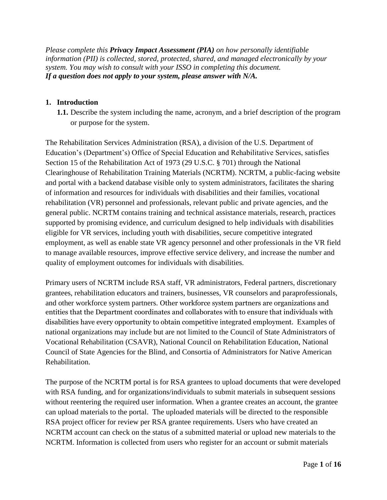*Please complete this Privacy Impact Assessment (PIA) on how personally identifiable information (PII) is collected, stored, protected, shared, and managed electronically by your system. You may wish to consult with your ISSO in completing this document. If a question does not apply to your system, please answer with N/A.* 

## **1. Introduction**

**1.1.** Describe the system including the name, acronym, and a brief description of the program or purpose for the system.

 to manage available resources, improve effective service delivery, and increase the number and The Rehabilitation Services Administration (RSA), a division of the U.S. Department of Education's (Department's) Office of Special Education and Rehabilitative Services, satisfies Section 15 of the Rehabilitation Act of 1973 (29 U.S.C. § 701) through the National Clearinghouse of Rehabilitation Training Materials (NCRTM). NCRTM, a public-facing website and portal with a backend database visible only to system administrators, facilitates the sharing of information and resources for individuals with disabilities and their families, vocational rehabilitation (VR) personnel and professionals, relevant public and private agencies, and the general public. NCRTM contains training and technical assistance materials, research, practices supported by promising evidence, and curriculum designed to help individuals with disabilities eligible for VR services, including youth with disabilities, secure competitive integrated employment, as well as enable state VR agency personnel and other professionals in the VR field quality of employment outcomes for individuals with disabilities.

 entities that the Department coordinates and collaborates with to ensure that individuals with disabilities have every opportunity to obtain competitive integrated employment. Examples of Primary users of NCRTM include RSA staff, VR administrators, Federal partners, discretionary grantees, rehabilitation educators and trainers, businesses, VR counselors and paraprofessionals, and other workforce system partners. Other workforce system partners are organizations and national organizations may include but are not limited to the Council of State Administrators of Vocational Rehabilitation (CSAVR), National Council on Rehabilitation Education, National Council of State Agencies for the Blind, and Consortia of Administrators for Native American Rehabilitation.

The purpose of the NCRTM portal is for RSA grantees to upload documents that were developed with RSA funding, and for organizations/individuals to submit materials in subsequent sessions without reentering the required user information. When a grantee creates an account, the grantee can upload materials to the portal. The uploaded materials will be directed to the responsible RSA project officer for review per RSA grantee requirements. Users who have created an NCRTM account can check on the status of a submitted material or upload new materials to the NCRTM. Information is collected from users who register for an account or submit materials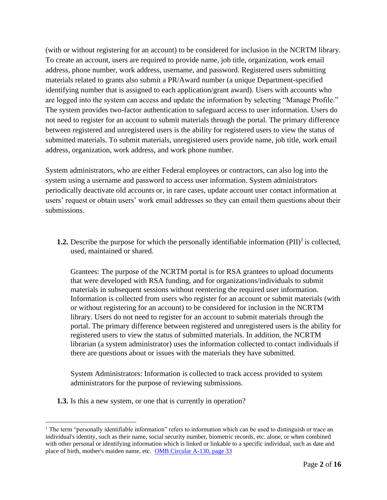(with or without registering for an account) to be considered for inclusion in the NCRTM library. To create an account, users are required to provide name, job title, organization, work email address, phone number, work address, username, and password. Registered users submitting materials related to grants also submit a PR/Award number (a unique Department-specified identifying number that is assigned to each application/grant award). Users with accounts who are logged into the system can access and update the information by selecting "Manage Profile." The system provides two-factor authentication to safeguard access to user information. Users do not need to register for an account to submit materials through the portal. The primary difference between registered and unregistered users is the ability for registered users to view the status of submitted materials. To submit materials, unregistered users provide name, job title, work email address, organization, work address, and work phone number.

System administrators, who are either Federal employees or contractors, can also log into the system using a username and password to access user information. System administrators periodically deactivate old accounts or, in rare cases, update account user contact information at users' request or obtain users' work email addresses so they can email them questions about their submissions.

**1.2.** Describe the purpose for which the personally identifiable information  $(PII)^{1}$  is collected, used, maintained or shared.

Grantees: The purpose of the NCRTM portal is for RSA grantees to upload documents that were developed with RSA funding, and for organizations/individuals to submit materials in subsequent sessions without reentering the required user information. Information is collected from users who register for an account or submit materials (with or without registering for an account) to be considered for inclusion in the NCRTM library. Users do not need to register for an account to submit materials through the portal. The primary difference between registered and unregistered users is the ability for registered users to view the status of submitted materials. In addition, the NCRTM librarian (a system administrator) uses the information collected to contact individuals if there are questions about or issues with the materials they have submitted.

System Administrators: Information is collected to track access provided to system administrators for the purpose of reviewing submissions.

**1.3.** Is this a new system, or one that is currently in operation?

 $1$  The term "personally identifiable information" refers to information which can be used to distinguish or trace an individual's identity, such as their name, social security number, biometric records, etc. alone, or when combined with other personal or identifying information which is linked or linkable to a specific individual, such as date and place of birth, mother's maiden name, etc. OMB Circular A-130, page 33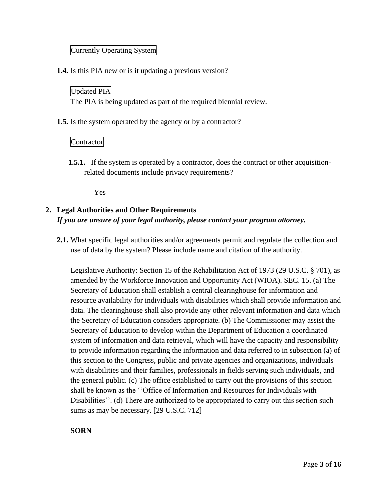#### Currently Operating System

**1.4.** Is this PIA new or is it updating a previous version?

## Updated PIA

The PIA is being updated as part of the required biennial review.

**1.5.** Is the system operated by the agency or by a contractor?

## Contractor

**1.5.1.** If the system is operated by a contractor, does the contract or other acquisitionrelated documents include privacy requirements?

Yes

## **2. Legal Authorities and Other Requirements**  *If you are unsure of your legal authority, please contact your program attorney.*

**2.1.** What specific legal authorities and/or agreements permit and regulate the collection and use of data by the system? Please include name and citation of the authority.

Legislative Authority: Section 15 of the Rehabilitation Act of 1973 (29 U.S.C. § 701), as amended by the Workforce Innovation and Opportunity Act (WIOA). SEC. 15. (a) The Secretary of Education shall establish a central clearinghouse for information and resource availability for individuals with disabilities which shall provide information and data. The clearinghouse shall also provide any other relevant information and data which the Secretary of Education considers appropriate. (b) The Commissioner may assist the Secretary of Education to develop within the Department of Education a coordinated system of information and data retrieval, which will have the capacity and responsibility to provide information regarding the information and data referred to in subsection (a) of this section to the Congress, public and private agencies and organizations, individuals with disabilities and their families, professionals in fields serving such individuals, and the general public. (c) The office established to carry out the provisions of this section shall be known as the ''Office of Information and Resources for Individuals with Disabilities''. (d) There are authorized to be appropriated to carry out this section such sums as may be necessary. [29 U.S.C. 712]

**SORN**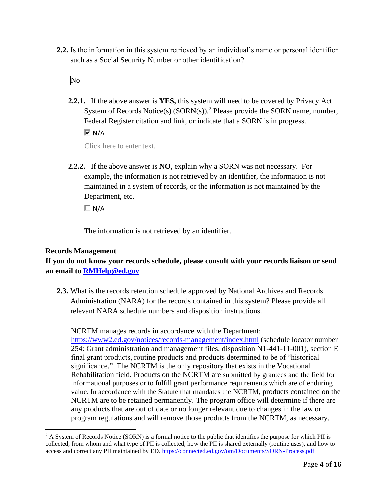**2.2.** Is the information in this system retrieved by an individual's name or personal identifier such as a Social Security Number or other identification?

No

**2.2.1.** If the above answer is **YES,** this system will need to be covered by Privacy Act System of Records Notice(s) (SORN(s)).<sup>2</sup> Please provide the SORN name, number, Federal Register citation and link, or indicate that a SORN is in progress.

 $\overline{M}$  N/A

Click here to enter text.

 Department, etc. **2.2.2.** If the above answer is **NO**, explain why a SORN was not necessary. For example, the information is not retrieved by an identifier, the information is not maintained in a system of records, or the information is not maintained by the

 $\Box N/A$ 

The information is not retrieved by an identifier.

#### **Records Management**

**If you do not know your records schedule, please consult with your records liaison or send an email to [RMHelp@ed.gov](mailto:RMHelp@ed.gov)** 

**2.3.** What is the records retention schedule approved by National Archives and Records Administration (NARA) for the records contained in this system? Please provide all relevant NARA schedule numbers and disposition instructions.

 significance." The NCRTM is the only repository that exists in the Vocational NCRTM are to be retained permanently. The program office will determine if there are NCRTM manages records in accordance with the Department: <https://www2.ed.gov/notices/records-management/index.html>(schedule locator number 254: Grant administration and management files, disposition N1-441-11-001), section E final grant products, routine products and products determined to be of "historical Rehabilitation field. Products on the NCRTM are submitted by grantees and the field for informational purposes or to fulfill grant performance requirements which are of enduring value. In accordance with the Statute that mandates the NCRTM, products contained on the any products that are out of date or no longer relevant due to changes in the law or program regulations and will remove those products from the NCRTM, as necessary.

 $2 A$  System of Records Notice (SORN) is a formal notice to the public that identifies the purpose for which PII is collected, from whom and what type of PII is collected, how the PII is shared externally (routine uses), and how to access and correct any PII maintained by ED. https://connected.ed.gov/om/Documents/SORN-Process.pdf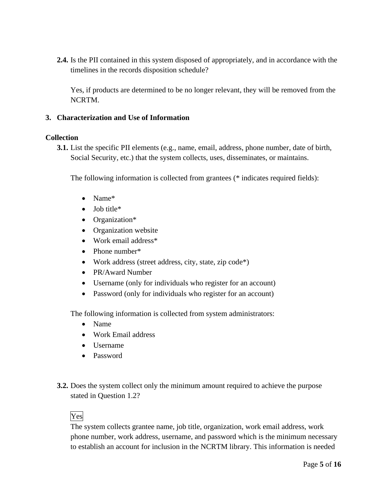**2.4.** Is the PII contained in this system disposed of appropriately, and in accordance with the timelines in the records disposition schedule?

Yes, if products are determined to be no longer relevant, they will be removed from the NCRTM.

#### **3. Characterization and Use of Information**

#### **Collection**

**3.1.** List the specific PII elements (e.g., name, email, address, phone number, date of birth, Social Security, etc.) that the system collects, uses, disseminates, or maintains.

The following information is collected from grantees (\* indicates required fields):

- Name\*
- Job title\*
- Organization\*
- Organization website
- Work email address\*
- Phone number\*
- Work address (street address, city, state, zip code\*)
- PR/Award Number
- Username (only for individuals who register for an account)
- Password (only for individuals who register for an account)

The following information is collected from system administrators:

- Name
- Work Email address
- Username
- Password
- **3.2.** Does the system collect only the minimum amount required to achieve the purpose stated in Question 1.2?

## Yes

The system collects grantee name, job title, organization, work email address, work phone number, work address, username, and password which is the minimum necessary to establish an account for inclusion in the NCRTM library. This information is needed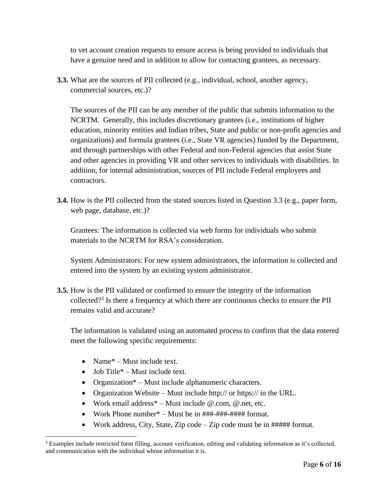to vet account creation requests to ensure access is being provided to individuals that have a genuine need and in addition to allow for contacting grantees, as necessary.

**3.3.** What are the sources of PII collected (e.g., individual, school, another agency, commercial sources, etc.)?

The sources of the PII can be any member of the public that submits information to the NCRTM. Generally, this includes discretionary grantees (i.e., institutions of higher education, minority entities and Indian tribes, State and public or non-profit agencies and organizations) and formula grantees (i.e., State VR agencies) funded by the Department, and through partnerships with other Federal and non-Federal agencies that assist State and other agencies in providing VR and other services to individuals with disabilities. In addition, for internal administration, sources of PII include Federal employees and contractors.

**3.4.** How is the PII collected from the stated sources listed in Question 3.3 (e.g., paper form, web page, database, etc.)?

Grantees: The information is collected via web forms for individuals who submit materials to the NCRTM for RSA's consideration.

System Administrators: For new system administrators, the information is collected and entered into the system by an existing system administrator.

collected?<sup>3</sup> Is there a frequency at which there are continuous checks to ensure the PII **3.5.** How is the PII validated or confirmed to ensure the integrity of the information remains valid and accurate?

The information is validated using an automated process to confirm that the data entered meet the following specific requirements:

- Name<sup>\*</sup> Must include text.
- Job Title $*$  Must include text.
- Organization<sup>\*</sup> Must include alphanumeric characters.
- Organization Website Must include http:// or https:// in the URL.
- Work email address\* Must include @.com, @.net, etc.
- Work Phone number\* Must be in  $\# \# \# \# \# \# \# \#$  format.
- Work address, City, State, Zip code Zip code must be in ##### format.

 $3$  Examples include restricted form filling, account verification, editing and validating information as it's collected, and communication with the individual whose information it is.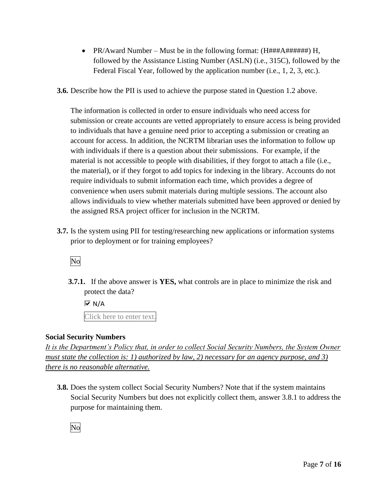- PR/Award Number Must be in the following format: (H###A######) H, followed by the Assistance Listing Number (ASLN) (i.e., 315C), followed by the Federal Fiscal Year, followed by the application number (i.e., 1, 2, 3, etc.).
- **3.6.** Describe how the PII is used to achieve the purpose stated in Question 1.2 above.

The information is collected in order to ensure individuals who need access for submission or create accounts are vetted appropriately to ensure access is being provided to individuals that have a genuine need prior to accepting a submission or creating an account for access. In addition, the NCRTM librarian uses the information to follow up with individuals if there is a question about their submissions. For example, if the material is not accessible to people with disabilities, if they forgot to attach a file (i.e., the material), or if they forgot to add topics for indexing in the library. Accounts do not require individuals to submit information each time, which provides a degree of convenience when users submit materials during multiple sessions. The account also allows individuals to view whether materials submitted have been approved or denied by the assigned RSA project officer for inclusion in the NCRTM.

**3.7.** Is the system using PII for testing/researching new applications or information systems prior to deployment or for training employees?

No

**3.7.1.** If the above answer is **YES,** what controls are in place to minimize the risk and protect the data?

 $\overline{\blacksquare}$  N/A Click here to enter text.

## **Social Security Numbers**

*It is the Department's Policy that, in order to collect Social Security Numbers, the System Owner must state the collection is: 1) authorized by law, 2) necessary for an agency purpose, and 3) there is no reasonable alternative.* 

**3.8.** Does the system collect Social Security Numbers? Note that if the system maintains Social Security Numbers but does not explicitly collect them, answer 3.8.1 to address the purpose for maintaining them.

No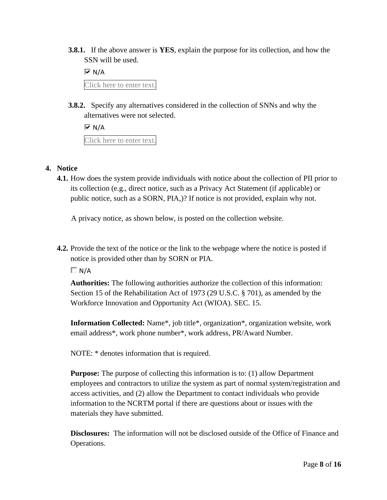**3.8.1.** If the above answer is **YES**, explain the purpose for its collection, and how the SSN will be used.

 $\overline{M}$  N/A Click here to enter text.

**3.8.2.** Specify any alternatives considered in the collection of SNNs and why the alternatives were not selected.

 $\overline{M}$  N/A Click here to enter text.

## **4. Notice**

**4.1.** How does the system provide individuals with notice about the collection of PII prior to its collection (e.g., direct notice, such as a Privacy Act Statement (if applicable) or public notice, such as a SORN, PIA,)? If notice is not provided, explain why not.

A privacy notice, as shown below, is posted on the collection website.

**4.2.** Provide the text of the notice or the link to the webpage where the notice is posted if notice is provided other than by SORN or PIA.

 $\Box N/A$ 

**Authorities:** The following authorities authorize the collection of this information: Section 15 of the Rehabilitation Act of 1973 (29 U.S.C. § 701), as amended by the Workforce Innovation and Opportunity Act (WIOA). SEC. 15.

**Information Collected:** Name\*, job title\*, organization\*, organization website, work email address\*, work phone number\*, work address, PR/Award Number.

NOTE: \* denotes information that is required.

**Purpose:** The purpose of collecting this information is to: (1) allow Department employees and contractors to utilize the system as part of normal system/registration and access activities, and (2) allow the Department to contact individuals who provide information to the NCRTM portal if there are questions about or issues with the materials they have submitted.

**Disclosures:** The information will not be disclosed outside of the Office of Finance and Operations.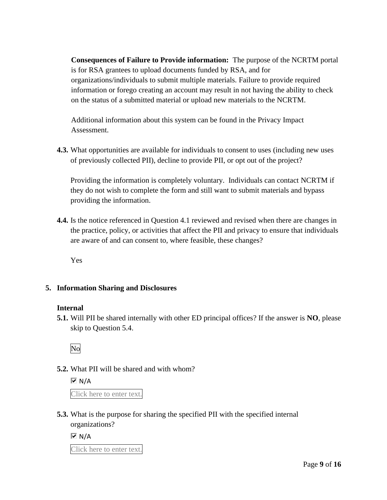**Consequences of Failure to Provide information:** The purpose of the NCRTM portal is for RSA grantees to upload documents funded by RSA, and for organizations/individuals to submit multiple materials. Failure to provide required information or forego creating an account may result in not having the ability to check on the status of a submitted material or upload new materials to the NCRTM.

Additional information about this system can be found in the Privacy Impact Assessment.

**4.3.** What opportunities are available for individuals to consent to uses (including new uses of previously collected PII), decline to provide PII, or opt out of the project?

Providing the information is completely voluntary. Individuals can contact NCRTM if they do not wish to complete the form and still want to submit materials and bypass providing the information.

**4.4.** Is the notice referenced in Question 4.1 reviewed and revised when there are changes in the practice, policy, or activities that affect the PII and privacy to ensure that individuals are aware of and can consent to, where feasible, these changes?

Yes

## **5. Information Sharing and Disclosures**

#### **Internal**

**5.1.** Will PII be shared internally with other ED principal offices? If the answer is **NO**, please skip to Question 5.4.

No

## **5.2.** What PII will be shared and with whom?

 $\overline{M}$  N/A

Click here to enter text.

**5.3.** What is the purpose for sharing the specified PII with the specified internal organizations?

 $\overline{M}$  N/A

Click here to enter text.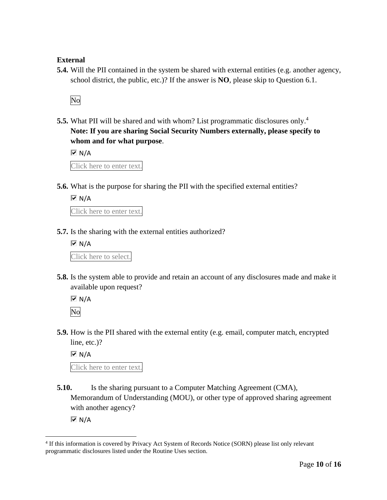#### **External**

**5.4.** Will the PII contained in the system be shared with external entities (e.g. another agency, school district, the public, etc.)? If the answer is **NO**, please skip to Question 6.1.

No

**5.5.** What PII will be shared and with whom? List programmatic disclosures only.<sup>4</sup> **Note: If you are sharing Social Security Numbers externally, please specify to whom and for what purpose**.

 $\overline{\blacksquare}$  N/A

Click here to enter text.

**5.6.** What is the purpose for sharing the PII with the specified external entities?

 $\overline{M}$  N/A

Click here to enter text.

**5.7.** Is the sharing with the external entities authorized?

 $\overline{M}$  N/A Click here to select.

**5.8.** Is the system able to provide and retain an account of any disclosures made and make it available upon request?

 $\overline{M}$  N/A No

**5.9.** How is the PII shared with the external entity (e.g. email, computer match, encrypted line, etc.)?

 $\overline{\triangleright}$  N/A

Click here to enter text.

**5.10.** Is the sharing pursuant to a Computer Matching Agreement (CMA), Memorandum of Understanding (MOU), or other type of approved sharing agreement with another agency?

 $\overline{M}$  N/A

 4 If this information is covered by Privacy Act System of Records Notice (SORN) please list only relevant programmatic disclosures listed under the Routine Uses section.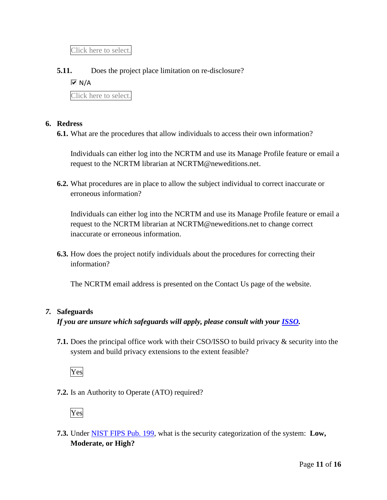Click here to select.

## **5.11.** Does the project place limitation on re-disclosure?

 $\overline{M}$  N/A

Click here to select.

#### **6. Redress**

**6.1.** What are the procedures that allow individuals to access their own information?

Individuals can either log into the NCRTM and use its Manage Profile feature or email a request to the NCRTM librarian at [NCRTM@neweditions.net.](mailto:NCRTM@neweditions.net)

**6.2.** What procedures are in place to allow the subject individual to correct inaccurate or erroneous information?

Individuals can either log into the NCRTM and use its Manage Profile feature or email a request to the NCRTM librarian at [NCRTM@neweditions.net](mailto:NCRTM@neweditions.net) to change correct inaccurate or erroneous information.

**6.3.** How does the project notify individuals about the procedures for correcting their information?

The NCRTM email address is presented on the Contact Us page of the website.

#### *7.* **Safeguards**

*If you are unsure which safeguards will apply, please consult with your ISSO.* 

**7.1.** Does the principal office work with their CSO/ISSO to build privacy & security into the system and build privacy extensions to the extent feasible?



**7.2.** Is an Authority to Operate (ATO) required?



 **7.3.** Under NIST FIPS Pub. 199, what is the security categorization of the system: **Low, Moderate, or High?**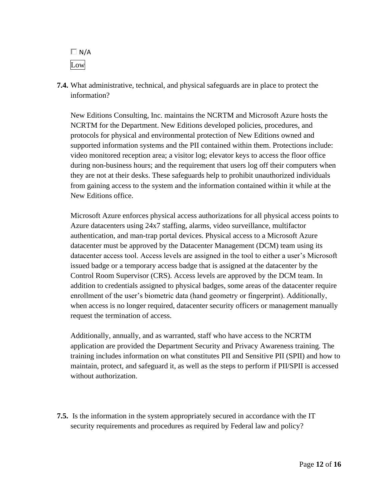$\Box$  N/A Low

**7.4.** What administrative, technical, and physical safeguards are in place to protect the information?

New Editions Consulting, Inc. maintains the NCRTM and Microsoft Azure hosts the NCRTM for the Department. New Editions developed policies, procedures, and protocols for physical and environmental protection of New Editions owned and supported information systems and the PII contained within them. Protections include: video monitored reception area; a visitor log; elevator keys to access the floor office during non-business hours; and the requirement that users log off their computers when they are not at their desks. These safeguards help to prohibit unauthorized individuals from gaining access to the system and the information contained within it while at the New Editions office.

Microsoft Azure enforces physical access authorizations for all physical access points to Azure datacenters using 24x7 staffing, alarms, video surveillance, multifactor authentication, and man-trap portal devices. Physical access to a Microsoft Azure datacenter must be approved by the Datacenter Management (DCM) team using its datacenter access tool. Access levels are assigned in the tool to either a user's Microsoft issued badge or a temporary access badge that is assigned at the datacenter by the Control Room Supervisor (CRS). Access levels are approved by the DCM team. In addition to credentials assigned to physical badges, some areas of the datacenter require enrollment of the user's biometric data (hand geometry or fingerprint). Additionally, when access is no longer required, datacenter security officers or management manually request the termination of access.

Additionally, annually, and as warranted, staff who have access to the NCRTM application are provided the Department Security and Privacy Awareness training. The training includes information on what constitutes PII and Sensitive PII (SPII) and how to maintain, protect, and safeguard it, as well as the steps to perform if PII/SPII is accessed without authorization.

**7.5.** Is the information in the system appropriately secured in accordance with the IT security requirements and procedures as required by Federal law and policy?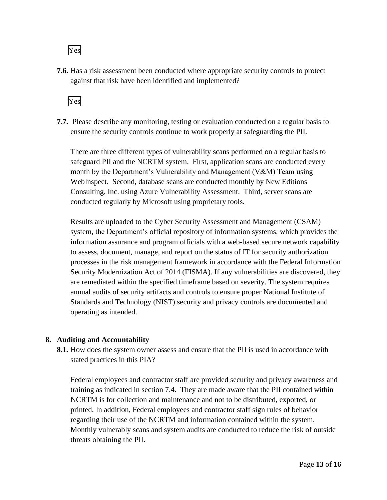## Yes

**7.6.** Has a risk assessment been conducted where appropriate security controls to protect against that risk have been identified and implemented?



**7.7.** Please describe any monitoring, testing or evaluation conducted on a regular basis to ensure the security controls continue to work properly at safeguarding the PII.

 WebInspect. Second, database scans are conducted monthly by New Editions There are three different types of vulnerability scans performed on a regular basis to safeguard PII and the NCRTM system. First, application scans are conducted every month by the Department's Vulnerability and Management (V&M) Team using Consulting, Inc. using Azure Vulnerability Assessment. Third, server scans are conducted regularly by Microsoft using proprietary tools.

Results are uploaded to the Cyber Security Assessment and Management (CSAM) system, the Department's official repository of information systems, which provides the information assurance and program officials with a web-based secure network capability to assess, document, manage, and report on the status of IT for security authorization processes in the risk management framework in accordance with the Federal Information Security Modernization Act of 2014 (FISMA). If any vulnerabilities are discovered, they are remediated within the specified timeframe based on severity. The system requires annual audits of security artifacts and controls to ensure proper National Institute of Standards and Technology (NIST) security and privacy controls are documented and operating as intended.

#### **8. Auditing and Accountability**

**8.1.** How does the system owner assess and ensure that the PII is used in accordance with stated practices in this PIA?

 training as indicated in section 7.4. They are made aware that the PII contained within Federal employees and contractor staff are provided security and privacy awareness and NCRTM is for collection and maintenance and not to be distributed, exported, or printed. In addition, Federal employees and contractor staff sign rules of behavior regarding their use of the NCRTM and information contained within the system. Monthly vulnerably scans and system audits are conducted to reduce the risk of outside threats obtaining the PII.